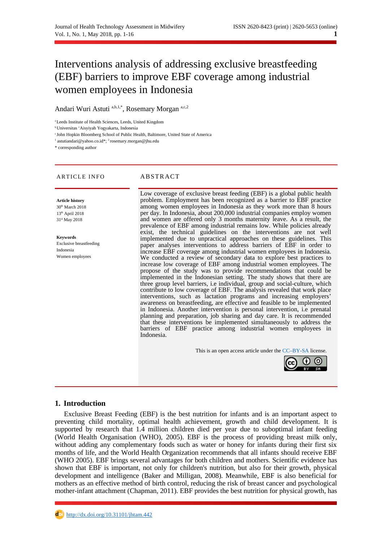# Interventions analysis of addressing exclusive breastfeeding (EBF) barriers to improve EBF coverage among industrial women employees in Indonesia

Andari Wuri Astuti a,b,1,\*, Rosemary Morgan a,c,2

<sup>a</sup> Leeds Institute of Health Sciences, Leeds, United Kingdom

<sup>b</sup>Universitas 'Aisyiyah Yogyakarta, Indonesia

<sup>c</sup> John Hopkin Bloomberg School of Public Health, Baltimore, United State of America

<sup>1</sup> astutiandari@yahoo.co.id\*; <sup>2</sup> rosemary.morgan@jhu.edu

\* corresponding author

#### ARTICLE INFO ABSTRACT

**Article history** 30<sup>th</sup> March 2018 13th April 2018 31st May 2018

**Keywords** Exclusive breastfeeding Indonesia Women employees

Low coverage of exclusive breast feeding (EBF) is a global public health problem. Employment has been recognized as a barrier to EBF practice among women employees in Indonesia as they work more than 8 hours per day. In Indonesia, about 200,000 industrial companies employ women and women are offered only 3 months maternity leave. As a result, the prevalence of EBF among industrial remains low. While policies already exist, the technical guidelines on the interventions are not well implemented due to unpractical approaches on these guidelines. This paper analyses interventions to address barriers of EBF in order to increase EBF coverage among industrial women employees in Indonesia. We conducted a review of secondary data to explore best practices to increase low coverage of EBF among industrial women employees. The propose of the study was to provide recommendations that could be implemented in the Indonesian setting. The study shows that there are three group level barriers, i.e individual, group and social-culture, which contribute to low coverage of EBF. The analysis revealed that work place interventions, such as lactation programs and increasing employers' awareness on breastfeeding, are effective and feasible to be implemented in Indonesia. Another intervention is personal intervention, i.e prenatal planning and preparation, job sharing and day care. It is recommended that these interventions be implemented simultaneously to address the barriers of EBF practice among industrial women employees in Indonesia.

This is an open access article under the [CC–BY-SA](http://creativecommons.org/licenses/by-sa/4.0/) license.



# **1. Introduction**

Exclusive Breast Feeding (EBF) is the best nutrition for infants and is an important aspect to preventing child mortality, optimal health achievement, growth and child development. It is supported by research that 1.4 million children died per year due to suboptimal infant feeding (World Health Organisation (WHO), 2005). EBF is the process of providing breast milk only, without adding any complementary foods such as water or honey for infants during their first six months of life, and the World Health Organization recommends that all infants should receive EBF (WHO 2005). EBF brings several advantages for both children and mothers. Scientific evidence has shown that EBF is important, not only for children's nutrition, but also for their growth, physical development and intelligence (Baker and Milligan, 2008). Meanwhile, EBF is also beneficial for mothers as an effective method of birth control, reducing the risk of breast cancer and psychological mother-infant attachment (Chapman, 2011). EBF provides the best nutrition for physical growth, has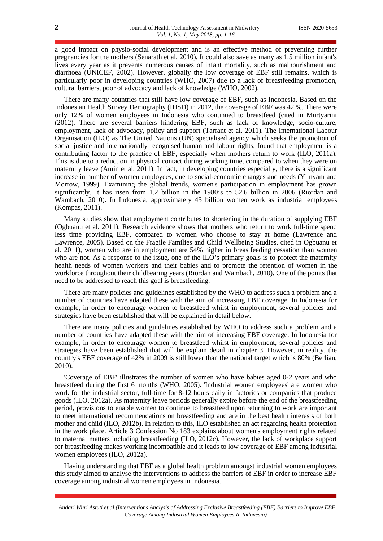a good impact on physio-social development and is an effective method of preventing further pregnancies for the mothers (Senarath et al, 2010). It could also save as many as 1.5 million infant's lives every year as it prevents numerous causes of infant mortality, such as malnourishment and diarrhoea (UNICEF, 2002). However, globally the low coverage of EBF still remains, which is particularly poor in developing countries (WHO, 2007) due to a lack of breastfeeding promotion, cultural barriers, poor of advocacy and lack of knowledge (WHO, 2002).

There are many countries that still have low coverage of EBF, such as Indonesia. Based on the Indonesian Health Survey Demography (IHSD) in 2012, the coverage of EBF was 42 %. There were only 12% of women employees in Indonesia who continued to breastfeed (cited in Murtyarini (2012). There are several barriers hindering EBF, such as lack of knowledge, socio-culture, employment, lack of advocacy, policy and support (Tarrant et al, 2011). The International Labour Organisation (ILO) as The United Nations (UN) specialised agency which seeks the promotion of social justice and internationally recognised human and labour rights, found that employment is a contributing factor to the practice of EBF, especially when mothers return to work (ILO, 2011a). This is due to a reduction in physical contact during working time, compared to when they were on maternity leave (Amin et al, 2011). In fact, in developing countries especially, there is a significant increase in number of women employees, due to social-economic changes and needs (Yimyam and Morrow, 1999). Examining the global trends, women's participation in employment has grown significantly. It has risen from 1.2 billion in the 1980's to 52.6 billion in 2006 (Riordan and Wambach, 2010). In Indonesia, approximately 45 billion women work as industrial employees (Kompas, 2011).

Many studies show that employment contributes to shortening in the duration of supplying EBF (Ogbuanu et al. 2011). Research evidence shows that mothers who return to work full-time spend less time providing EBF, compared to women who choose to stay at home (Lawrence and Lawrence, 2005). Based on the Fragile Families and Child Wellbeing Studies, cited in Ogbuanu et al. 2011), women who are in employment are 54% higher in breastfeeding cessation than women who are not. As a response to the issue, one of the ILO's primary goals is to protect the maternity health needs of women workers and their babies and to promote the retention of women in the workforce throughout their childbearing years (Riordan and Wambach, 2010). One of the points that need to be addressed to reach this goal is breastfeeding.

There are many policies and guidelines established by the WHO to address such a problem and a number of countries have adapted these with the aim of increasing EBF coverage. In Indonesia for example, in order to encourage women to breastfeed whilst in employment, several policies and strategies have been established that will be explained in detail below.

There are many policies and guidelines established by WHO to address such a problem and a number of countries have adapted these with the aim of increasing EBF coverage. In Indonesia for example, in order to encourage women to breastfeed whilst in employment, several policies and strategies have been established that will be explain detail in chapter 3. However, in reality, the country's EBF coverage of 42% in 2009 is still lower than the national target which is 80% (Berlian, 2010).

'Coverage of EBF' illustrates the number of women who have babies aged 0-2 years and who breastfeed during the first 6 months (WHO, 2005). 'Industrial women employees' are women who work for the industrial sector, full-time for 8-12 hours daily in factories or companies that produce goods (ILO, 2012a). As maternity leave periods generally expire before the end of the breastfeeding period, provisions to enable women to continue to breastfeed upon returning to work are important to meet international recommendations on breastfeeding and are in the best health interests of both mother and child (ILO, 2012b). In relation to this, ILO established an act regarding health protection in the work place. Article 3 Confession No 183 explains about women's employment rights related to maternal matters including breastfeeding (ILO, 2012c). However, the lack of workplace support for breastfeeding makes working incompatible and it leads to low coverage of EBF among industrial women employees (ILO, 2012a).

Having understanding that EBF as a global health problem amongst industrial women employees this study aimed to analyse the interventions to address the barriers of EBF in order to increase EBF coverage among industrial women employees in Indonesia.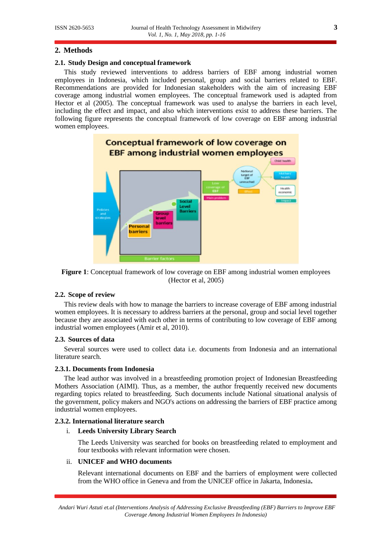# **2. Methods**

### **2.1. Study Design and conceptual framework**

This study reviewed interventions to address barriers of EBF among industrial women employees in Indonesia, which included personal, group and social barriers related to EBF. Recommendations are provided for Indonesian stakeholders with the aim of increasing EBF coverage among industrial women employees. The conceptual framework used is adapted from Hector et al (2005). The conceptual framework was used to analyse the barriers in each level, including the effect and impact, and also which interventions exist to address these barriers. The following figure represents the conceptual framework of low coverage on EBF among industrial women employees.





# **2.2. Scope of review**

This review deals with how to manage the barriers to increase coverage of EBF among industrial women employees. It is necessary to address barriers at the personal, group and social level together because they are associated with each other in terms of contributing to low coverage of EBF among industrial women employees (Amir et al, 2010).

#### **2.3. Sources of data**

Several sources were used to collect data i.e. documents from Indonesia and an international literature search.

# **2.3.1. Documents from Indonesia**

The lead author was involved in a breastfeeding promotion project of Indonesian Breastfeeding Mothers Association (AIMI). Thus, as a member, the author frequently received new documents regarding topics related to breastfeeding. Such documents include National situational analysis of the government, policy makers and NGO's actions on addressing the barriers of EBF practice among industrial women employees.

# **2.3.2. International literature search**

# i. **Leeds University Library Search**

The Leeds University was searched for books on breastfeeding related to employment and four textbooks with relevant information were chosen.

# ii. **UNICEF and WHO documents**

Relevant international documents on EBF and the barriers of employment were collected from the WHO office in Geneva and from the UNICEF office in Jakarta, Indonesia**.**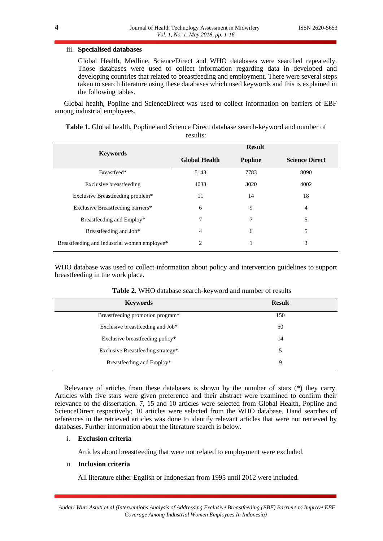# iii. **Specialised databases**

Global Health, Medline, ScienceDirect and WHO databases were searched repeatedly. Those databases were used to collect information regarding data in developed and developing countries that related to breastfeeding and employment. There were several steps taken to search literature using these databases which used keywords and this is explained in the following tables.

Global health, Popline and ScienceDirect was used to collect information on barriers of EBF among industrial employees.

| TESUILS.                                     |                      |                |                       |  |  |  |
|----------------------------------------------|----------------------|----------------|-----------------------|--|--|--|
|                                              | <b>Result</b>        |                |                       |  |  |  |
| <b>Keywords</b>                              | <b>Global Health</b> | <b>Popline</b> | <b>Science Direct</b> |  |  |  |
| Breastfeed*                                  | 5143                 | 7783           | 8090                  |  |  |  |
| <b>Exclusive breastfeeding</b>               | 4033                 | 3020           | 4002                  |  |  |  |
| Exclusive Breastfeeding problem*             | 11                   | 14             | 18                    |  |  |  |
| Exclusive Breastfeeding barriers*            | 6                    | 9              | $\overline{4}$        |  |  |  |
| Breastfeeding and Employ*                    | 7                    | 7              | 5                     |  |  |  |
| Breastfeeding and Job*                       | 4                    | 6              | 5                     |  |  |  |
| Breastfeeding and industrial women employee* | 2                    | 1              | 3                     |  |  |  |

**Table 1.** Global health, Popline and Science Direct database search-keyword and number of results:

WHO database was used to collect information about policy and intervention guidelines to support breastfeeding in the work place.

| <b>Keywords</b>                   | <b>Result</b> |
|-----------------------------------|---------------|
| Breastfeeding promotion program*  | 150           |
| Exclusive breastfeeding and Job*  | 50            |
| Exclusive breastfeeding policy*   | 14            |
| Exclusive Breastfeeding strategy* | 5             |
| Breastfeeding and Employ*         | 9             |
|                                   |               |

| Table 2. WHO database search-keyword and number of results |  |  |  |
|------------------------------------------------------------|--|--|--|
|------------------------------------------------------------|--|--|--|

Relevance of articles from these databases is shown by the number of stars (\*) they carry. Articles with five stars were given preference and their abstract were examined to confirm their relevance to the dissertation. 7, 15 and 10 articles were selected from Global Health, Popline and ScienceDirect respectively; 10 articles were selected from the WHO database. Hand searches of references in the retrieved articles was done to identify relevant articles that were not retrieved by databases. Further information about the literature search is below.

# i. **Exclusion criteria**

Articles about breastfeeding that were not related to employment were excluded.

# ii. **Inclusion criteria**

All literature either English or Indonesian from 1995 until 2012 were included.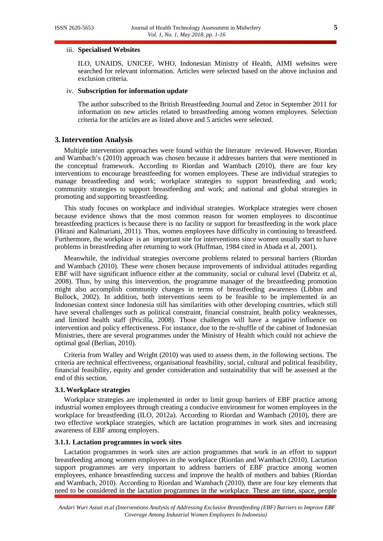#### iii. **Specialised Websites**

ILO, UNAIDS, UNICEF, WHO, Indonesian Ministry of Health, AIMI websites were searched for relevant information. Articles were selected based on the above inclusion and exclusion criteria.

#### iv. **Subscription for information update**

The author subscribed to the British Breastfeeding Journal and Zetoc in September 2011 for information on new articles related to breastfeeding among women employees. Selection criteria for the articles are as listed above and 5 articles were selected.

# **3.Intervention Analysis**

Multiple intervention approaches were found within the literature reviewed. However, Riordan and Wambach's (2010) approach was chosen because it addresses barriers that were mentioned in the conceptual framework. According to Riordan and Wambach (2010), there are four key interventions to encourage breastfeeding for women employees. These are individual strategies to manage breastfeeding and work; workplace strategies to support breastfeeding and work; community strategies to support breastfeeding and work; and national and global strategies in promoting and supporting breastfeeding.

This study focuses on workplace and individual strategies. Workplace strategies were chosen because evidence shows that the most common reason for women employees to discontinue breastfeeding practices is because there is no facility or support for breastfeeding in the work place (Hirani and Kalmariani, 2011). Thus, women employees have difficulty in continuing to breastfeed. Furthermore, the workplace is an important site for interventions since women usually start to have problems in breastfeeding after returning to work (Huffman, 1984 cited in Abada et al, 2001).

Meanwhile, the individual strategies overcome problems related to personal barriers (Riordan and Wambach (2010). These were chosen because improvements of individual attitudes regarding EBF will have significant influence either at the community, social or cultural level (Dabritz et al, 2008). Thus, by using this intervention, the programme manager of the breastfeeding promotion might also accomplish community changes in terms of breastfeeding awareness (Libbus and Bullock, 2002). In addition, both interventions seem to be feasible to be implemented in an Indonesian context since Indonesia still has similarities with other developing countries, which still have several challenges such as political constraint, financial constraint, health policy weaknesses, and limited health staff (Pricilla, 2008). Those challenges will have a negative influence on intervention and policy effectiveness. For instance, due to the re-shuffle of the cabinet of Indonesian Ministries, there are several programmes under the Ministry of Health which could not achieve the optimal goal (Berlian, 2010).

Criteria from Walley and Wright (2010) was used to assess them, in the following sections. The criteria are technical effectiveness, organisational feasibility, social, cultural and political feasibility, financial feasibility, equity and gender consideration and sustainability that will be assessed at the end of this section.

#### **3.1.Workplace strategies**

Workplace strategies are implemented in order to limit group barriers of EBF practice among industrial women employees through creating a conducive environment for women employees in the workplace for breastfeeding (ILO, 2012a). According to Riordan and Wambach (2010), there are two effective workplace strategies, which are lactation programmes in work sites and increasing awareness of EBF among employers.

# **3.1.1. Lactation programmes in work sites**

Lactation programmes in work sites are action programmes that work in an effort to support breastfeeding among women employees in the workplace (Riordan and Wambach (2010). Lactation support programmes are very important to address barriers of EBF practice among women employees, enhance breastfeeding success and improve the health of mothers and babies (Riordan and Wambach, 2010). According to Riordan and Wambach (2010), there are four key elements that need to be considered in the lactation programmes in the workplace. These are time, space, people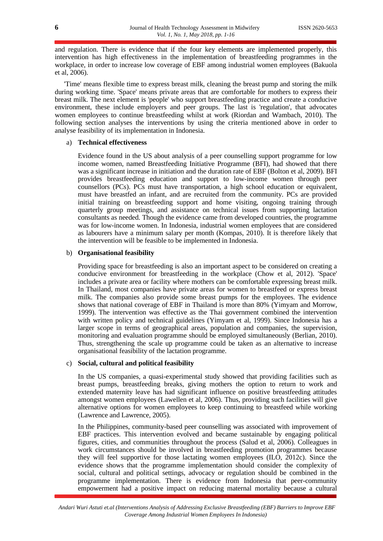and regulation. There is evidence that if the four key elements are implemented properly, this intervention has high effectiveness in the implementation of breastfeeding programmes in the workplace, in order to increase low coverage of EBF among industrial women employees (Bakuola et al, 2006).

'Time' means flexible time to express breast milk, cleaning the breast pump and storing the milk during working time. 'Space' means private areas that are comfortable for mothers to express their breast milk. The next element is 'people' who support breastfeeding practice and create a conducive environment, these include employers and peer groups. The last is 'regulation', that advocates women employees to continue breastfeeding whilst at work (Riordan and Wambach, 2010). The following section analyses the interventions by using the criteria mentioned above in order to analyse feasibility of its implementation in Indonesia.

#### a) **Technical effectiveness**

Evidence found in the US about analysis of a peer counselling support programme for low income women, named Breastfeeding Initiative Programme (BFI), had showed that there was a significant increase in initiation and the duration rate of EBF (Bolton et al, 2009). BFI provides breastfeeding education and support to low-income women through peer counsellors (PCs). PCs must have transportation, a high school education or equivalent, must have breastfed an infant, and are recruited from the community. PCs are provided initial training on breastfeeding support and home visiting, ongoing training through quarterly group meetings, and assistance on technical issues from supporting lactation consultants as needed. Though the evidence came from developed countries, the programme was for low-income women. In Indonesia, industrial women employees that are considered as labourers have a minimum salary per month (Kompas, 2010). It is therefore likely that the intervention will be feasible to be implemented in Indonesia.

# b) **Organisational feasibility**

Providing space for breastfeeding is also an important aspect to be considered on creating a conducive environment for breastfeeding in the workplace (Chow et al, 2012). 'Space' includes a private area or facility where mothers can be comfortable expressing breast milk. In Thailand, most companies have private areas for women to breastfeed or express breast milk. The companies also provide some breast pumps for the employees. The evidence shows that national coverage of EBF in Thailand is more than 80% (Yimyam and Morrow, 1999). The intervention was effective as the Thai government combined the intervention with written policy and technical guidelines (Yimyam et al, 1999). Since Indonesia has a larger scope in terms of geographical areas, population and companies, the supervision, monitoring and evaluation programme should be employed simultaneously (Berlian, 2010). Thus, strengthening the scale up programme could be taken as an alternative to increase organisational feasibility of the lactation programme.

# c) **Social, cultural and political feasibility**

In the US companies, a quasi-experimental study showed that providing facilities such as breast pumps, breastfeeding breaks, giving mothers the option to return to work and extended maternity leave has had significant influence on positive breastfeeding attitudes amongst women employees (Lawellen et al, 2006). Thus, providing such facilities will give alternative options for women employees to keep continuing to breastfeed while working (Lawrence and Lawrence, 2005).

In the Philippines, community-based peer counselling was associated with improvement of EBF practices. This intervention evolved and became sustainable by engaging political figures, cities, and communities throughout the process (Salud et al, 2006). Colleagues in work circumstances should be involved in breastfeeding promotion programmes because they will feel supportive for those lactating women employees (ILO, 2012c). Since the evidence shows that the programme implementation should consider the complexity of social, cultural and political settings, advocacy or regulation should be combined in the programme implementation. There is evidence from Indonesia that peer-community empowerment had a positive impact on reducing maternal mortality because a cultural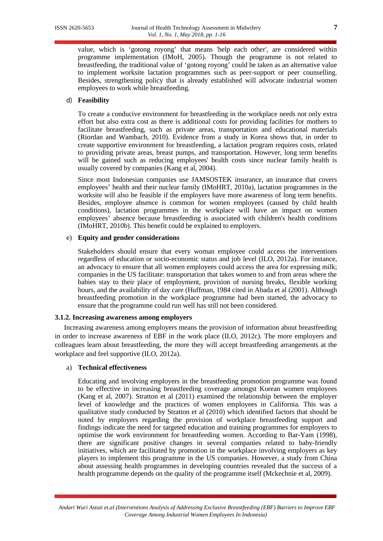value, which is 'gotong royong' that means 'help each other', are considered within programme implementation (IMoH, 2005). Though the programme is not related to breastfeeding, the traditional value of 'gotong royong' could be taken as an alternative value to implement worksite lactation programmes such as peer-support or peer counselling. Besides, strengthening policy that is already established will advocate industrial women employees to work while breastfeeding.

# d) **Feasibility**

To create a conducive environment for breastfeeding in the workplace needs not only extra effort but also extra cost as there is additional costs for providing facilities for mothers to facilitate breastfeeding, such as private areas, transportation and educational materials (Riordan and Wambach, 2010). Evidence from a study in Korea shows that, in order to create supportive environment for breastfeeding, a lactation program requires costs, related to providing private areas, breast pumps, and transportation. However, long term benefits will be gained such as reducing employees' health costs since nuclear family health is usually covered by companies (Kang et al, 2004).

Since most Indonesian companies use JAMSOSTEK insurance, an insurance that covers employees' health and their nuclear family (IMoHRT, 2010a), lactation programmes in the worksite will also be feasible if the employers have more awareness of long term benefits. Besides, employee absence is common for women employees (caused by child health conditions), lactation programmes in the workplace will have an impact on women employees' absence because breastfeeding is associated with children's health conditions (IMoHRT, 2010b). This benefit could be explained to employers.

# e) **Equity and gender considerations**

Stakeholders should ensure that every woman employee could access the interventions regardless of education or socio-economic status and job level (ILO, 2012a). For instance, an advocacy to ensure that all women employees could access the area for expressing milk; companies in the US facilitate: transportation that takes women to and from areas where the babies stay to their place of employment, provision of nursing breaks, flexible working hours, and the availability of day care (Huffman, 1984 cited in Abada et al (2001). Although breastfeeding promotion in the workplace programme had been started, the advocacy to ensure that the programme could run well has still not been considered.

# **3.1.2. Increasing awareness among employers**

Increasing awareness among employers means the provision of information about breastfeeding in order to increase awareness of EBF in the work place (ILO, 2012c). The more employers and colleagues learn about breastfeeding, the more they will accept breastfeeding arrangements at the workplace and feel supportive (ILO, 2012a).

#### a) **Technical effectiveness**

Educating and involving employers in the breastfeeding promotion programme was found to be effective in increasing breastfeeding coverage amongst Korean women employees (Kang et al, 2007). Stratton et al (2011) examined the relationship between the employer level of knowledge and the practices of women employees in California. This was a qualitative study conducted by Stratton et al (2010) which identified factors that should be noted by employers regarding the provision of workplace breastfeeding support and findings indicate the need for targeted education and training programmes for employers to optimise the work environment for breastfeeding women. According to Bar-Yam (1998), there are significant positive changes in several companies related to baby-friendly initiatives, which are facilitated by promotion in the workplace involving employers as key players to implement this programme in the US companies. However, a study from China about assessing health programmes in developing countries revealed that the success of a health programme depends on the quality of the programme itself (Mckechnie et al, 2009).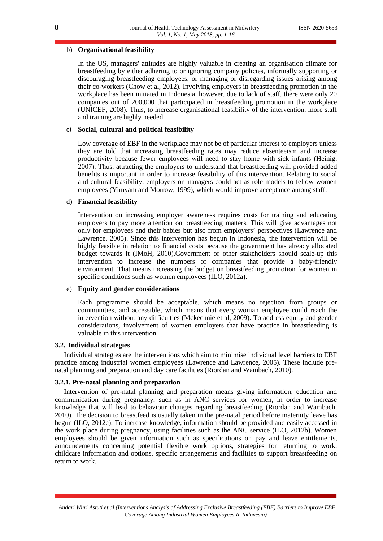# b) **Organisational feasibility**

In the US, managers' attitudes are highly valuable in creating an organisation climate for breastfeeding by either adhering to or ignoring company policies, informally supporting or discouraging breastfeeding employees, or managing or disregarding issues arising among their co-workers (Chow et al, 2012). Involving employers in breastfeeding promotion in the workplace has been initiated in Indonesia, however, due to lack of staff, there were only 20 companies out of 200,000 that participated in breastfeeding promotion in the workplace (UNICEF, 2008). Thus, to increase organisational feasibility of the intervention, more staff and training are highly needed.

# c) **Social, cultural and political feasibility**

Low coverage of EBF in the workplace may not be of particular interest to employers unless they are told that increasing breastfeeding rates may reduce absenteeism and increase productivity because fewer employees will need to stay home with sick infants (Heinig, 2007). Thus, attracting the employers to understand that breastfeeding will provided added benefits is important in order to increase feasibility of this intervention. Relating to social and cultural feasibility, employers or managers could act as role models to fellow women employees (Yimyam and Morrow, 1999), which would improve acceptance among staff.

# d) **Financial feasibility**

Intervention on increasing employer awareness requires costs for training and educating employers to pay more attention on breastfeeding matters. This will give advantages not only for employees and their babies but also from employers' perspectives (Lawrence and Lawrence, 2005). Since this intervention has begun in Indonesia, the intervention will be highly feasible in relation to financial costs because the government has already allocated budget towards it (IMoH, 2010).Government or other stakeholders should scale-up this intervention to increase the numbers of companies that provide a baby-friendly environment. That means increasing the budget on breastfeeding promotion for women in specific conditions such as women employees (ILO, 2012a).

# e) **Equity and gender considerations**

Each programme should be acceptable, which means no rejection from groups or communities, and accessible, which means that every woman employee could reach the intervention without any difficulties (Mckechnie et al, 2009). To address equity and gender considerations, involvement of women employers that have practice in breastfeeding is valuable in this intervention.

# **3.2. Individual strategies**

Individual strategies are the interventions which aim to minimise individual level barriers to EBF practice among industrial women employees (Lawrence and Lawrence, 2005). These include prenatal planning and preparation and day care facilities (Riordan and Wambach, 2010).

# **3.2.1. Pre-natal planning and preparation**

Intervention of pre-natal planning and preparation means giving information, education and communication during pregnancy, such as in ANC services for women, in order to increase knowledge that will lead to behaviour changes regarding breastfeeding (Riordan and Wambach, 2010). The decision to breastfeed is usually taken in the pre-natal period before maternity leave has begun (ILO, 2012c). To increase knowledge, information should be provided and easily accessed in the work place during pregnancy, using facilities such as the ANC service (ILO, 2012b). Women employees should be given information such as specifications on pay and leave entitlements, announcements concerning potential flexible work options, strategies for returning to work, childcare information and options, specific arrangements and facilities to support breastfeeding on return to work.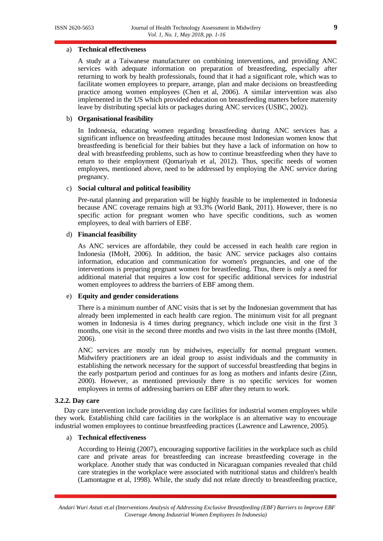# a) **Technical effectiveness**

A study at a Taiwanese manufacturer on combining interventions, and providing ANC services with adequate information on preparation of breastfeeding, especially after returning to work by health professionals, found that it had a significant role, which was to facilitate women employees to prepare, arrange, plan and make decisions on breastfeeding practice among women employees (Chen et al, 2006). A similar intervention was also implemented in the US which provided education on breastfeeding matters before maternity leave by distributing special kits or packages during ANC services (USBC, 2002).

# b) **Organisational feasibility**

In Indonesia, educating women regarding breastfeeding during ANC services has a significant influence on breastfeeding attitudes because most Indonesian women know that breastfeeding is beneficial for their babies but they have a lack of information on how to deal with breastfeeding problems, such as how to continue breastfeeding when they have to return to their employment (Qomariyah et al, 2012). Thus, specific needs of women employees, mentioned above, need to be addressed by employing the ANC service during pregnancy.

# c) **Social cultural and political feasibility**

Pre-natal planning and preparation will be highly feasible to be implemented in Indonesia because ANC coverage remains high at 93.3% (World Bank, 2011). However, there is no specific action for pregnant women who have specific conditions, such as women employees, to deal with barriers of EBF.

# d) **Financial feasibility**

As ANC services are affordabile, they could be accessed in each health care region in Indonesia (IMoH, 2006). In addition, the basic ANC service packages also contains information, education and communication for women's pregnancies, and one of the interventions is preparing pregnant women for breastfeeding. Thus, there is only a need for additional material that requires a low cost for specific additional services for industrial women employees to address the barriers of EBF among them.

# e) **Equity and gender considerations**

There is a minimum number of ANC visits that is set by the Indonesian government that has already been implemented in each health care region. The minimum visit for all pregnant women in Indonesia is 4 times during pregnancy, which include one visit in the first 3 months, one visit in the second three months and two visits in the last three months (IMoH, 2006).

ANC services are mostly run by midwives, especially for normal pregnant women. Midwifery practitioners are an ideal group to assist individuals and the community in establishing the network necessary for the support of successful breastfeeding that begins in the early postpartum period and continues for as long as mothers and infants desire (Zinn, 2000). However, as mentioned previously there is no specific services for women employees in terms of addressing barriers on EBF after they return to work.

#### **3.2.2. Day care**

Day care intervention include providing day care facilities for industrial women employees while they work. Establishing child care facilities in the workplace is an alternative way to encourage industrial women employees to continue breastfeeding practices (Lawrence and Lawrence, 2005).

#### a) **Technical effectiveness**

According to Heinig (2007), encouraging supportive facilities in the workplace such as child care and private areas for breastfeeding can increase breastfeeding coverage in the workplace. Another study that was conducted in Nicaraguan companies revealed that child care strategies in the workplace were associated with nutritional status and children's health (Lamontagne et al, 1998). While, the study did not relate directly to breastfeeding practice,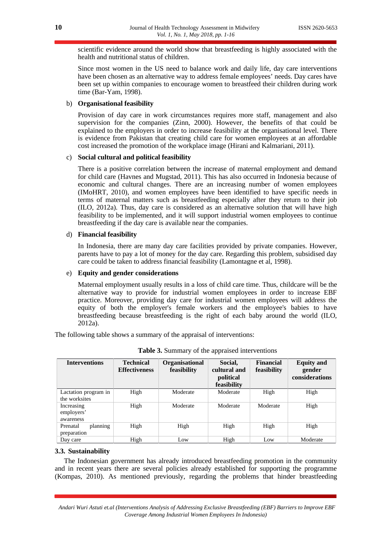scientific evidence around the world show that breastfeeding is highly associated with the health and nutritional status of children.

Since most women in the US need to balance work and daily life, day care interventions have been chosen as an alternative way to address female employees' needs. Day cares have been set up within companies to encourage women to breastfeed their children during work time (Bar-Yam, 1998).

# b) **Organisational feasibility**

Provision of day care in work circumstances requires more staff, management and also supervision for the companies (Zinn, 2000). However, the benefits of that could be explained to the employers in order to increase feasibility at the organisational level. There is evidence from Pakistan that creating child care for women employees at an affordable cost increased the promotion of the workplace image (Hirani and Kalmariani, 2011).

# c) **Social cultural and political feasibility**

There is a positive correlation between the increase of maternal employment and demand for child care (Havnes and Mugstad, 2011). This has also occurred in Indonesia because of economic and cultural changes. There are an increasing number of women employees (IMoHRT, 2010), and women employees have been identified to have specific needs in terms of maternal matters such as breastfeeding especially after they return to their job (ILO, 2012a). Thus, day care is considered as an alternative solution that will have high feasibility to be implemented, and it will support industrial women employees to continue breastfeeding if the day care is available near the companies.

# d) **Financial feasibility**

In Indonesia, there are many day care facilities provided by private companies. However, parents have to pay a lot of money for the day care. Regarding this problem, subsidised day care could be taken to address financial feasibility (Lamontagne et al, 1998).

# e) **Equity and gender considerations**

Maternal employment usually results in a loss of child care time. Thus, childcare will be the alternative way to provide for industrial women employees in order to increase EBF practice. Moreover, providing day care for industrial women employees will address the equity of both the employer's female workers and the employee's babies to have breastfeeding because breastfeeding is the right of each baby around the world (ILO, 2012a).

The following table shows a summary of the appraisal of interventions:

| <b>Interventions</b>                  | <b>Technical</b><br><b>Effectiveness</b> | <b>Organisational</b><br>feasibility | Social,<br>cultural and<br>political<br>feasibility | Financial<br>feasibility | <b>Equity and</b><br>gender<br>considerations |
|---------------------------------------|------------------------------------------|--------------------------------------|-----------------------------------------------------|--------------------------|-----------------------------------------------|
| Lactation program in<br>the worksites | High                                     | Moderate                             | Moderate                                            | High                     | High                                          |
| Increasing<br>employers'<br>awareness | High                                     | Moderate                             | Moderate                                            | Moderate                 | High                                          |
| Prenatal<br>planning<br>preparation   | High                                     | High                                 | High                                                | High                     | High                                          |
| Day care                              | High                                     | Low                                  | High                                                | Low                      | Moderate                                      |

**Table 3.** Summary of the appraised interventions

# **3.3. Sustainability**

The Indonesian government has already introduced breastfeeding promotion in the community and in recent years there are several policies already established for supporting the programme (Kompas, 2010). As mentioned previously, regarding the problems that hinder breastfeeding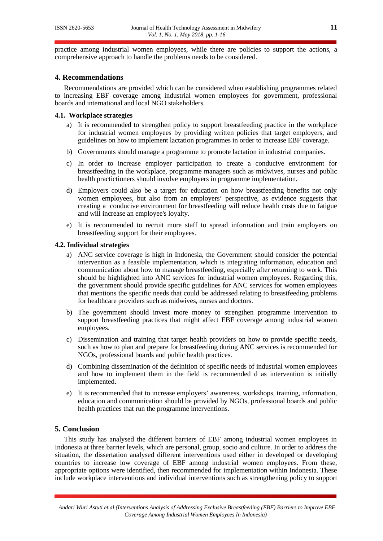practice among industrial women employees, while there are policies to support the actions, a comprehensive approach to handle the problems needs to be considered.

# **4. Recommendations**

Recommendations are provided which can be considered when establishing programmes related to increasing EBF coverage among industrial women employees for government, professional boards and international and local NGO stakeholders.

# **4.1. Workplace strategies**

- a) It is recommended to strengthen policy to support breastfeeding practice in the workplace for industrial women employees by providing written policies that target employers, and guidelines on how to implement lactation programmes in order to increase EBF coverage.
- b) Governments should manage a programme to promote lactation in industrial companies.
- c) In order to increase employer participation to create a conducive environment for breastfeeding in the workplace, programme managers such as midwives, nurses and public health practictioners should involve employers in programme implementation.
- d) Employers could also be a target for education on how breastfeeding benefits not only women employees, but also from an employers' perspective, as evidence suggests that creating a conducive environment for breastfeeding will reduce health costs due to fatigue and will increase an employee's loyalty.
- e) It is recommended to recruit more staff to spread information and train employers on breastfeeding support for their employees.

#### **4.2. Individual strategies**

- a) ANC service coverage is high in Indonesia, the Government should consider the potential intervention as a feasible implementation, which is integrating information, education and communication about how to manage breastfeeding, especially after returning to work. This should be highlighted into ANC services for industrial women employees. Regarding this, the government should provide specific guidelines for ANC services for women employees that mentions the specific needs that could be addressed relating to breastfeeding problems for healthcare providers such as midwives, nurses and doctors.
- b) The government should invest more money to strengthen programme intervention to support breastfeeding practices that might affect EBF coverage among industrial women employees.
- c) Dissemination and training that target health providers on how to provide specific needs, such as how to plan and prepare for breastfeeding during ANC services is recommended for NGOs, professional boards and public health practices.
- d) Combining dissemination of the definition of specific needs of industrial women employees and how to implement them in the field is recommended d as intervention is initially implemented.
- e) It is recommended that to increase employers' awareness, workshops, training, information, education and communication should be provided by NGOs, professional boards and public health practices that run the programme interventions.

# **5. Conclusion**

This study has analysed the different barriers of EBF among industrial women employees in Indonesia at three barrier levels, which are personal, group, socio and culture. In order to address the situation, the dissertation analysed different interventions used either in developed or developing countries to increase low coverage of EBF among industrial women employees. From these, appropriate options were identified, then recommended for implementation within Indonesia. These include workplace interventions and individual interventions such as strengthening policy to support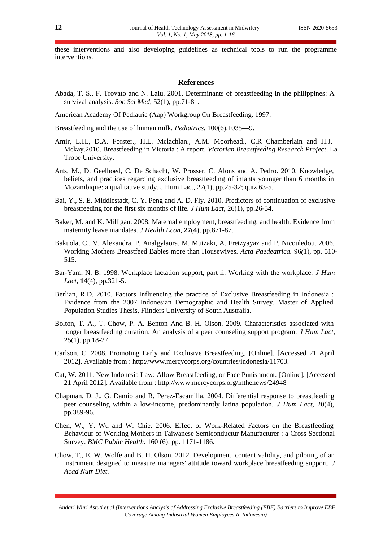these interventions and also developing guidelines as technical tools to run the programme interventions.

#### **References**

Abada, T. S., F. Trovato and N. Lalu. 2001. Determinants of breastfeeding in the philippines: A survival analysis. *Soc Sci Med,* 52(1), pp.71-81.

American Academy Of Pediatric (Aap) Workgroup On Breastfeeding. 1997.

Breastfeeding and the use of human milk. *Pediatrics*. 100(6).1035—9.

- Amir, L.H., D.A. Forster., H.L. Mclachlan., A.M. Moorhead., C.R Chamberlain and H.J. Mckay.2010. Breastfeeding in Victoria : A report. *Victorian Breastfeeding Research Project*. La Trobe University.
- Arts, M., D. Geelhoed, C. De Schacht, W. Prosser, C. Alons and A. Pedro. 2010. Knowledge, beliefs, and practices regarding exclusive breastfeeding of infants younger than 6 months in Mozambique: a qualitative study. J Hum Lact, 27(1), pp.25-32; quiz 63-5.
- Bai, Y., S. E. Middlestadt, C. Y. Peng and A. D. Fly. 2010. Predictors of continuation of exclusive breastfeeding for the first six months of life. *J Hum Lact,* 26(1), pp.26-34.
- Baker, M. and K. Milligan. 2008. Maternal employment, breastfeeding, and health: Evidence from maternity leave mandates. *J Health Econ,* **27**(4), pp.871-87.
- Bakuola, C., V. Alexandra. P. Analgylaora, M. Mutzaki, A. Fretzyayaz and P. Nicouledou. 2006. Working Mothers Breastfeed Babies more than Housewives. *Acta Paedeatrica.* 96*(*1), pp. 510- 515.
- Bar-Yam, N. B. 1998. Workplace lactation support, part ii: Working with the workplace. *J Hum Lact,* **14**(4), pp.321-5.
- Berlian, R.D. 2010. Factors Influencing the practice of Exclusive Breastfeeding in Indonesia : Evidence from the 2007 Indonesian Demographic and Health Survey. Master of Applied Population Studies Thesis, Flinders University of South Australia.
- Bolton, T. A., T. Chow, P. A. Benton And B. H. Olson. 2009. Characteristics associated with longer breastfeeding duration: An analysis of a peer counseling support program. *J Hum Lact,* 25(1), pp.18-27.
- Carlson, C. 2008. Promoting Early and Exclusive Breastfeeding. [Online]. [Accessed 21 April 2012]. Available from : http://www.mercycorps.org/countries/indonesia/11703.
- Cat, W. 2011. New Indonesia Law: Allow Breastfeeding, or Face Punishment. [Online]. [Accessed 21 April 2012]. Available from : http://www.mercycorps.org/inthenews/24948
- Chapman, D. J., G. Damio and R. Perez-Escamilla. 2004. Differential response to breastfeeding peer counseling within a low-income, predominantly latina population. *J Hum Lact,* 20(4), pp.389-96.
- Chen, W., Y. Wu and W. Chie. 2006. Effect of Work-Related Factors on the Breastfeeding Behaviour of Working Mothers in Taiwanese Semiconductur Manufacturer : a Cross Sectional Survey. *BMC Public Health.* 160 (6). pp. 1171-1186.
- Chow, T., E. W. Wolfe and B. H. Olson. 2012. Development, content validity, and piloting of an instrument designed to measure managers' attitude toward workplace breastfeeding support. *J Acad Nutr Diet*.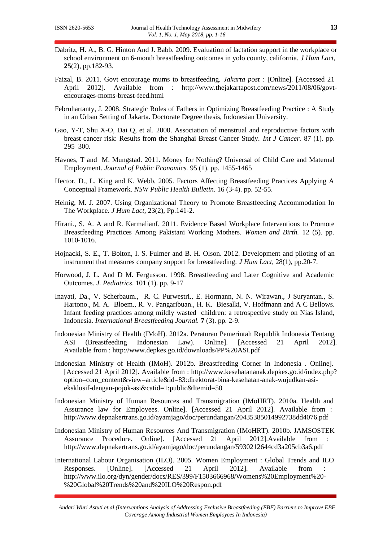- Dabritz, H. A., B. G. Hinton And J. Babb. 2009. Evaluation of lactation support in the workplace or school environment on 6-month breastfeeding outcomes in yolo county, california. *J Hum Lact,* **25**(2), pp.182-93.
- Faizal, B. 2011. Govt encourage mums to breastfeeding. *Jakarta post :* [Online]. [Accessed 21 April 2012]. Available from : http://www.thejakartapost.com/news/2011/08/06/govtencourages-moms-breast-feed.html
- Februhartanty, J. 2008. Strategic Roles of Fathers in Optimizing Breastfeeding Practice : A Study in an Urban Setting of Jakarta. Doctorate Degree thesis, Indonesian University.
- Gao, Y-T, Shu X-O, Dai Q, et al. 2000. Association of menstrual and reproductive factors with breast cancer risk: Results from the Shanghai Breast Cancer Study. *Int J Cancer.* 87 (1). pp. 295–300.
- Havnes, T and M. Mungstad. 2011. Money for Nothing? Universal of Child Care and Maternal Employment. *Journal of Public Economics.* 95 (1). pp. 1455-1465
- Hector, D., L. King and K. Webb. 2005. Factors Affecting Breastfeeding Practices Applying A Conceptual Framework. *NSW Public Health Bulletin.* 16 (3-4). pp. 52-55.
- Heinig, M. J. 2007. Using Organizational Theory to Promote Breastfeeding Accommodation In The Workplace. *J Hum Lact,* 23(2), Pp.141-2.
- Hirani., S. A. A and R. KarmalianI. 2011. Evidence Based Workplace Interventions to Promote Breastfeeding Practices Among Pakistani Working Mothers. *Women and Birth.* 12 (5). pp. 1010-1016.
- Hojnacki, S. E., T. Bolton, I. S. Fulmer and B. H. Olson. 2012. Development and piloting of an instrument that measures company support for breastfeeding. *J Hum Lact,* 28(1), pp.20-7.
- Horwood, J. L. And D M. Fergusson. 1998. Breastfeeding and Later Cognitive and Academic Outcomes. *J. Pediatrics*. 101 (1). pp. 9-17
- Inayati, Da., V. Scherbaum., R. C. Purwestri., E. Hormann, N. N. Wirawan., J Suryantan., S. Hartono., M. A. Bloem., R. V. Pangaribuan., H. K. Biesalki, V. Hoffmann and A C Bellows. Infant feeding practices among mildly wasted children: a retrospective study on Nias Island, Indonesia. *International Breastfeeding Journal.* **7** (3). pp. 2-9.
- Indonesian Ministry of Health (IMoH). 2012a. Peraturan Pemerintah Republik Indonesia Tentang ASI (Breastfeeding Indonesian Law). Online]. [Accessed 21 April 2012]. Available from : http://www.depkes.go.id/downloads/PP%20ASI.pdf
- Indonesian Ministry of Health (IMoH). 2012b. Breastfeeding Corner in Indonesia . Online]. [Accessed 21 April 2012]. Available from : http://www.kesehatananak.depkes.go.id/index.php? option=com\_content&view=article&id=83:direktorat-bina-kesehatan-anak-wujudkan-asieksklusif-dengan-pojok-asi&catid=1:public&Itemid=50
- Indonesian Ministry of Human Resources and Transmigration (IMoHRT). 2010a. Health and Assurance law for Employees. Online]. [Accessed 21 April 2012]. Available from : http://www.depnakertrans.go.id/ayamjago/doc/perundangan/20435385014992738dd4076.pdf
- Indonesian Ministry of Human Resources And Transmigration (IMoHRT). 2010b. JAMSOSTEK Assurance Procedure. Online]. [Accessed 21 April 2012].Available from : http://www.depnakertrans.go.id/ayamjago/doc/perundangan/5930212644cd3a205cb3a6.pdf
- International Labour Organisation (ILO). 2005. Women Employment : Global Trends and ILO Responses. [Online]. [Accessed 21 April 2012]. Available from : http://www.ilo.org/dyn/gender/docs/RES/399/F1503666968/Womens%20Employment%20- %20Global%20Trends%20and%20ILO%20Respon.pdf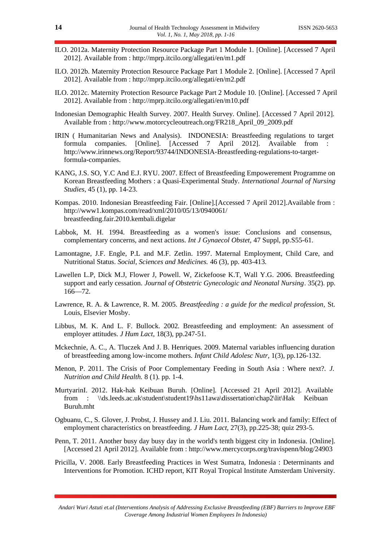- ILO. 2012a. Maternity Protection Resource Package Part 1 Module 1. [Online]. [Accessed 7 April 2012]. Available from : http://mprp.itcilo.org/allegati/en/m1.pdf
- ILO. 2012b. Maternity Protection Resource Package Part 1 Module 2. [Online]. [Accessed 7 April 2012]. Available from : http://mprp.itcilo.org/allegati/en/m2.pdf
- ILO. 2012c. Maternity Protection Resource Package Part 2 Module 10. [Online]. [Accessed 7 April 2012]. Available from : http://mprp.itcilo.org/allegati/en/m10.pdf
- Indonesian Demographic Health Survey. 2007. Health Survey. Online]. [Accessed 7 April 2012]. Available from : http://www.motorcycleoutreach.org/FR218\_April\_09\_2009.pdf
- IRIN ( Humanitarian News and Analysis). INDONESIA: Breastfeeding regulations to target formula companies. [Online]. [Accessed 7 April 2012]. Available from : http://www.irinnews.org/Report/93744/INDONESIA-Breastfeeding-regulations-to-targetformula-companies.
- KANG, J.S. SO, Y.C And E.J. RYU. 2007. Effect of Breastfeeding Empowerement Programme on Korean Breastfeeding Mothers : a Quasi-Experimental Study. *International Journal of Nursing Studies*, 45 (1), pp. 14-23.
- Kompas. 2010. Indonesian Breastfeeding Fair. [Online].[Accessed 7 April 2012].Available from : http://www1.kompas.com/read/xml/2010/05/13/0940061/ breastfeeding.fair.2010.kembali.digelar
- Labbok, M. H. 1994. Breastfeeding as a women's issue: Conclusions and consensus, complementary concerns, and next actions. *Int J Gynaecol Obstet,* 47 Suppl, pp.S55-61.
- Lamontagne, J.F. Engle, P.L and M.F. Zetlin. 1997. Maternal Employment, Child Care, and Nutritional Status. *Social, Sciences and Medicines.* 46 (3), pp. 403-413.
- Lawellen L.P, Dick M.J, Flower J, Powell. W, Zickefoose K.T, Wall Y.G. 2006. Breastfeeding support and early cessation. *Journal of Obstetric Gynecologic and Neonatal Nursing*. 35(2). pp. 166—72.
- Lawrence, R. A. & Lawrence, R. M. 2005. *Breastfeeding : a guide for the medical profession,* St. Louis, Elsevier Mosby.
- Libbus, M. K. And L. F. Bullock. 2002. Breastfeeding and employment: An assessment of employer attitudes. *J Hum Lact,* 18(3), pp.247-51.
- Mckechnie, A. C., A. Tluczek And J. B. Henriques. 2009. Maternal variables influencing duration of breastfeeding among low-income mothers. *Infant Child Adolesc Nutr,* 1(3), pp.126-132.
- Menon, P. 2011. The Crisis of Poor Complementary Feeding in South Asia : Where next?. *J. Nutrition and Child Health.* 8 (1). pp. 1-4.
- MurtyarinI. 2012. Hak-hak Keibuan Buruh. [Online]. [Accessed 21 April 2012]. Available from : \\ds.leeds.ac.uk\student\student19\hs11awa\dissertation\chap2\lit\Hak Keibuan Buruh.mht
- Ogbuanu, C., S. Glover, J. Probst, J. Hussey and J. Liu. 2011. Balancing work and family: Effect of employment characteristics on breastfeeding. *J Hum Lact,* 27(3), pp.225-38; quiz 293-5.
- Penn, T. 2011. Another busy day busy day in the world's tenth biggest city in Indonesia. [Online]. [Accessed 21 April 2012]. Available from : http://www.mercycorps.org/travispenn/blog/24903
- Pricilla, V. 2008. Early Breastfeeding Practices in West Sumatra, Indonesia : Determinants and Interventions for Promotion. ICHD report, KIT Royal Tropical Institute Amsterdam University.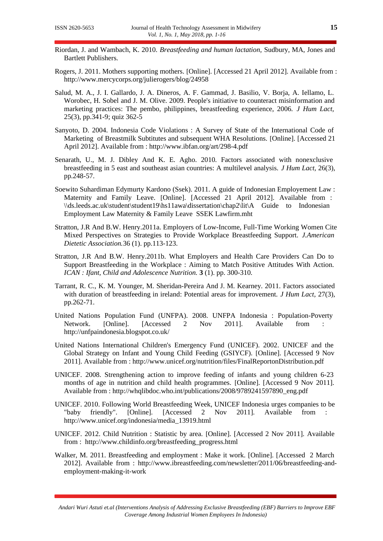- Riordan, J. and Wambach, K. 2010. *Breastfeeding and human lactation,* Sudbury, MA, Jones and Bartlett Publishers.
- Rogers, J. 2011. Mothers supporting mothers. [Online]. [Accessed 21 April 2012]. Available from : http://www.mercycorps.org/julierogers/blog/24958
- Salud, M. A., J. I. Gallardo, J. A. Dineros, A. F. Gammad, J. Basilio, V. Borja, A. Iellamo, L. Worobec, H. Sobel and J. M. Olive. 2009. People's initiative to counteract misinformation and marketing practices: The pembo, philippines, breastfeeding experience, 2006. *J Hum Lact,* 25(3), pp.341-9; quiz 362-5
- Sanyoto, D. 2004. Indonesia Code Violations : A Survey of State of the International Code of Marketing of Breastmilk Subtitutes and subsequent WHA Resolutions. [Online]. [Accessed 21 April 2012]. Available from : http://www.ibfan.org/art/298-4.pdf
- Senarath, U., M. J. Dibley And K. E. Agho. 2010. Factors associated with nonexclusive breastfeeding in 5 east and southeast asian countries: A multilevel analysis. *J Hum Lact,* 26(3), pp.248-57.
- Soewito Suhardiman Edymurty Kardono (Ssek). 2011. A guide of Indonesian Employement Law : Maternity and Family Leave. [Online]. [Accessed 21 April 2012]. Available from : \\ds.leeds.ac.uk\student\student19\hs11awa\dissertation\chap2\lit\A Guide to Indonesian Employment Law Maternity & Family Leave SSEK Lawfirm.mht
- Stratton, J.R And B.W. Henry.2011a. Employers of Low-Income, Full-Time Working Women Cite Mixed Perspectives on Strategies to Provide Workplace Breastfeeding Support. *J.American Dietetic Association.*36 (1). pp.113-123.
- Stratton, J.R And B.W. Henry.2011b. What Employers and Health Care Providers Can Do to Support Breastfeeding in the Workplace : Aiming to Match Positive Attitudes With Action. *ICAN : Ifant, Child and Adolescence Nutrition.* **3** (1). pp. 300-310.
- Tarrant, R. C., K. M. Younger, M. Sheridan-Pereira And J. M. Kearney. 2011. Factors associated with duration of breastfeeding in ireland: Potential areas for improvement. *J Hum Lact,* 27(3), pp.262-71.
- United Nations Population Fund (UNFPA). 2008. UNFPA Indonesia : Population-Poverty Network. [Online]. [Accessed 2 Nov 2011]. Available from http://unfpaindonesia.blogspot.co.uk/
- United Nations International Children's Emergency Fund (UNICEF). 2002. UNICEF and the Global Strategy on Infant and Young Child Feeding (GSIYCF). [Online]. [Accessed 9 Nov 2011]. Available from : http://www.unicef.org/nutrition/files/FinalReportonDistribution.pdf
- UNICEF. 2008. Strengthening action to improve feeding of infants and young children 6-23 months of age in nutrition and child health programmes. [Online]. [Accessed 9 Nov 2011]. Available from : http://whqlibdoc.who.int/publications/2008/9789241597890\_eng.pdf
- UNICEF. 2010. Following World Breastfeeding Week, UNICEF Indonesia urges companies to be "baby friendly". [Online]. [Accessed 2 Nov 2011]. Available from : http://www.unicef.org/indonesia/media\_13919.html
- UNICEF. 2012. Child Nutrition : Statistic by area. [Online]. [Accessed 2 Nov 2011]. Available from : http://www.childinfo.org/breastfeeding\_progress.html
- Walker, M. 2011. Breastfeeding and employment : Make it work. [Online]. [Accessed 2 March 2012]. Available from : http://www.ibreastfeeding.com/newsletter/2011/06/breastfeeding-andemployment-making-it-work